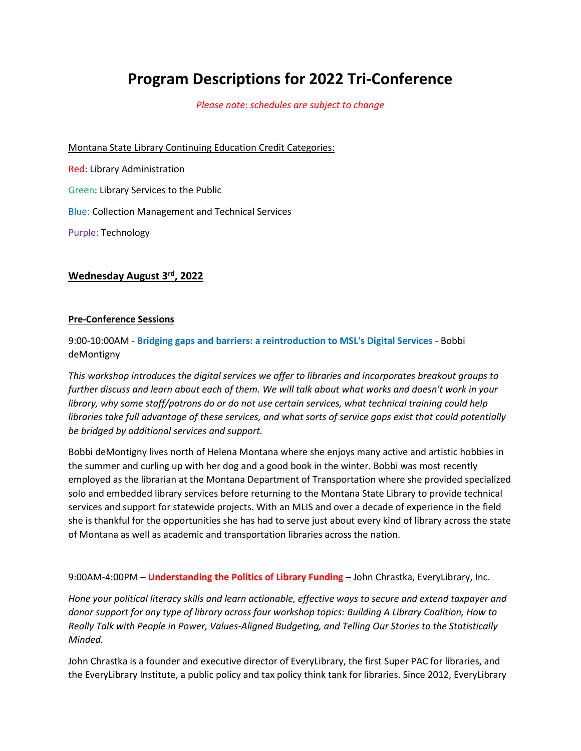# **Program Descriptions for 2022 Tri-Conference**

*Please note: schedules are subject to change*

Montana State Library Continuing Education Credit Categories:

Red: Library Administration Green: Library Services to the Public Blue: Collection Management and Technical Services Purple: Technology

# **Wednesday August 3rd, 2022**

### **Pre-Conference Sessions**

9:00-10:00AM - **Bridging gaps and barriers: a reintroduction to MSL's Digital Services** - Bobbi deMontigny

*This workshop introduces the digital services we offer to libraries and incorporates breakout groups to further discuss and learn about each of them. We will talk about what works and doesn't work in your library, why some staff/patrons do or do not use certain services, what technical training could help libraries take full advantage of these services, and what sorts of service gaps exist that could potentially be bridged by additional services and support.* 

Bobbi deMontigny lives north of Helena Montana where she enjoys many active and artistic hobbies in the summer and curling up with her dog and a good book in the winter. Bobbi was most recently employed as the librarian at the Montana Department of Transportation where she provided specialized solo and embedded library services before returning to the Montana State Library to provide technical services and support for statewide projects. With an MLIS and over a decade of experience in the field she is thankful for the opportunities she has had to serve just about every kind of library across the state of Montana as well as academic and transportation libraries across the nation.

9:00AM-4:00PM – **Understanding the Politics of Library Funding** – John Chrastka, EveryLibrary, Inc.

*Hone your political literacy skills and learn actionable, effective ways to secure and extend taxpayer and donor support for any type of library across four workshop topics: Building A Library Coalition, How to Really Talk with People in Power, Values-Aligned Budgeting, and Telling Our Stories to the Statistically Minded.*

John Chrastka is a founder and executive director of EveryLibrary, the first Super PAC for libraries, and the EveryLibrary Institute, a public policy and tax policy think tank for libraries. Since 2012, EveryLibrary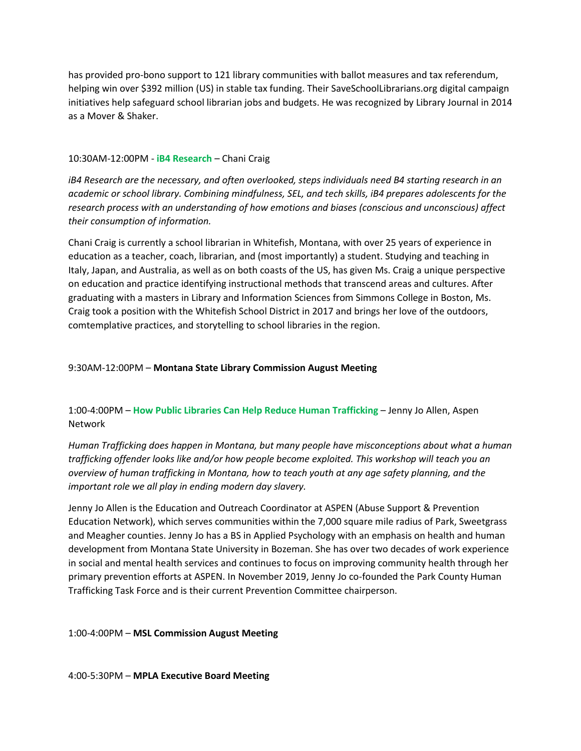has provided pro-bono support to 121 library communities with ballot measures and tax referendum, helping win over \$392 million (US) in stable tax funding. Their SaveSchoolLibrarians.org digital campaign initiatives help safeguard school librarian jobs and budgets. He was recognized by Library Journal in 2014 as a Mover & Shaker.

# 10:30AM-12:00PM - **iB4 Research** – Chani Craig

*iB4 Research are the necessary, and often overlooked, steps individuals need B4 starting research in an academic or school library. Combining mindfulness, SEL, and tech skills, iB4 prepares adolescents for the research process with an understanding of how emotions and biases (conscious and unconscious) affect their consumption of information.*

Chani Craig is currently a school librarian in Whitefish, Montana, with over 25 years of experience in education as a teacher, coach, librarian, and (most importantly) a student. Studying and teaching in Italy, Japan, and Australia, as well as on both coasts of the US, has given Ms. Craig a unique perspective on education and practice identifying instructional methods that transcend areas and cultures. After graduating with a masters in Library and Information Sciences from Simmons College in Boston, Ms. Craig took a position with the Whitefish School District in 2017 and brings her love of the outdoors, comtemplative practices, and storytelling to school libraries in the region.

# 9:30AM-12:00PM – **Montana State Library Commission August Meeting**

# 1:00-4:00PM – **How Public Libraries Can Help Reduce Human Trafficking** – Jenny Jo Allen, Aspen Network

*Human Trafficking does happen in Montana, but many people have misconceptions about what a human trafficking offender looks like and/or how people become exploited. This workshop will teach you an overview of human trafficking in Montana, how to teach youth at any age safety planning, and the important role we all play in ending modern day slavery.*

Jenny Jo Allen is the Education and Outreach Coordinator at ASPEN (Abuse Support & Prevention Education Network), which serves communities within the 7,000 square mile radius of Park, Sweetgrass and Meagher counties. Jenny Jo has a BS in Applied Psychology with an emphasis on health and human development from Montana State University in Bozeman. She has over two decades of work experience in social and mental health services and continues to focus on improving community health through her primary prevention efforts at ASPEN. In November 2019, Jenny Jo co-founded the Park County Human Trafficking Task Force and is their current Prevention Committee chairperson.

# 1:00-4:00PM – **MSL Commission August Meeting**

# 4:00-5:30PM – **MPLA Executive Board Meeting**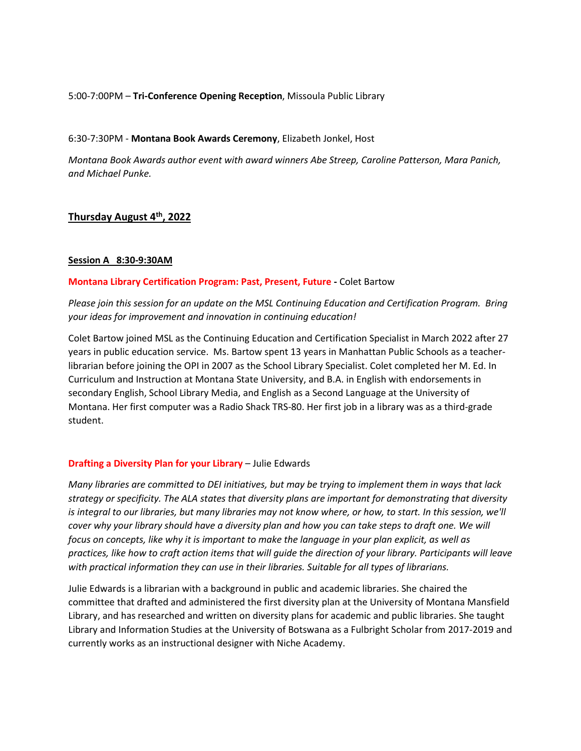# 5:00-7:00PM – **Tri-Conference Opening Reception**, Missoula Public Library

#### 6:30-7:30PM - **Montana Book Awards Ceremony**, Elizabeth Jonkel, Host

*Montana Book Awards author event with award winners Abe Streep, Caroline Patterson, Mara Panich, and Michael Punke.*

# **Thursday August 4th, 2022**

#### **Session A 8:30-9:30AM**

### **Montana Library Certification Program: Past, Present, Future -** Colet Bartow

*Please join this session for an update on the MSL Continuing Education and Certification Program. Bring your ideas for improvement and innovation in continuing education!*

Colet Bartow joined MSL as the Continuing Education and Certification Specialist in March 2022 after 27 years in public education service. Ms. Bartow spent 13 years in Manhattan Public Schools as a teacherlibrarian before joining the OPI in 2007 as the School Library Specialist. Colet completed her M. Ed. In Curriculum and Instruction at Montana State University, and B.A. in English with endorsements in secondary English, School Library Media, and English as a Second Language at the University of Montana. Her first computer was a Radio Shack TRS-80. Her first job in a library was as a third-grade student.

# **Drafting a Diversity Plan for your Library** – Julie Edwards

*Many libraries are committed to DEI initiatives, but may be trying to implement them in ways that lack strategy or specificity. The ALA states that diversity plans are important for demonstrating that diversity is integral to our libraries, but many libraries may not know where, or how, to start. In this session, we'll cover why your library should have a diversity plan and how you can take steps to draft one. We will focus on concepts, like why it is important to make the language in your plan explicit, as well as practices, like how to craft action items that will guide the direction of your library. Participants will leave with practical information they can use in their libraries. Suitable for all types of librarians.*

Julie Edwards is a librarian with a background in public and academic libraries. She chaired the committee that drafted and administered the first diversity plan at the University of Montana Mansfield Library, and has researched and written on diversity plans for academic and public libraries. She taught Library and Information Studies at the University of Botswana as a Fulbright Scholar from 2017-2019 and currently works as an instructional designer with Niche Academy.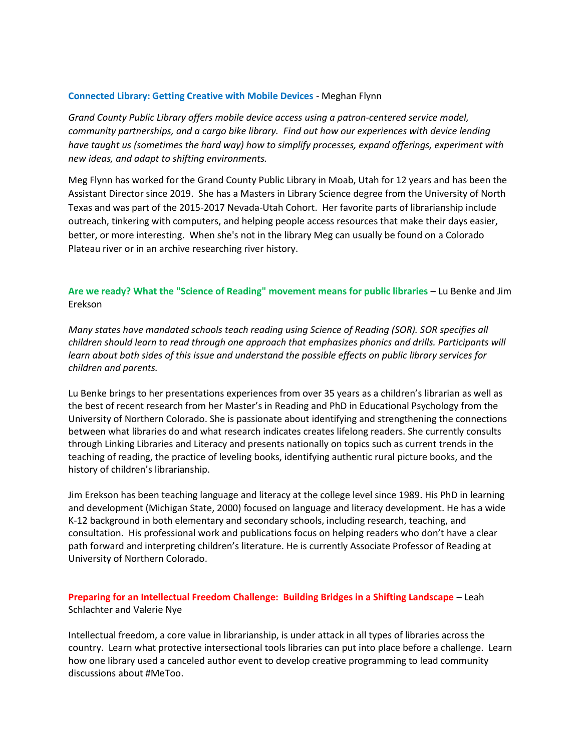#### **Connected Library: Getting Creative with Mobile Devices** - Meghan Flynn

*Grand County Public Library offers mobile device access using a patron-centered service model, community partnerships, and a cargo bike library. Find out how our experiences with device lending have taught us (sometimes the hard way) how to simplify processes, expand offerings, experiment with new ideas, and adapt to shifting environments.* 

Meg Flynn has worked for the Grand County Public Library in Moab, Utah for 12 years and has been the Assistant Director since 2019. She has a Masters in Library Science degree from the University of North Texas and was part of the 2015-2017 Nevada-Utah Cohort. Her favorite parts of librarianship include outreach, tinkering with computers, and helping people access resources that make their days easier, better, or more interesting. When she's not in the library Meg can usually be found on a Colorado Plateau river or in an archive researching river history.

# **Are we ready? What the "Science of Reading" movement means for public libraries** – Lu Benke and Jim Erekson

*Many states have mandated schools teach reading using Science of Reading (SOR). SOR specifies all children should learn to read through one approach that emphasizes phonics and drills. Participants will learn about both sides of this issue and understand the possible effects on public library services for children and parents.*

Lu Benke brings to her presentations experiences from over 35 years as a children's librarian as well as the best of recent research from her Master's in Reading and PhD in Educational Psychology from the University of Northern Colorado. She is passionate about identifying and strengthening the connections between what libraries do and what research indicates creates lifelong readers. She currently consults through Linking Libraries and Literacy and presents nationally on topics such as current trends in the teaching of reading, the practice of leveling books, identifying authentic rural picture books, and the history of children's librarianship.

Jim Erekson has been teaching language and literacy at the college level since 1989. His PhD in learning and development (Michigan State, 2000) focused on language and literacy development. He has a wide K-12 background in both elementary and secondary schools, including research, teaching, and consultation. His professional work and publications focus on helping readers who don't have a clear path forward and interpreting children's literature. He is currently Associate Professor of Reading at University of Northern Colorado.

**Preparing for an Intellectual Freedom Challenge: Building Bridges in a Shifting Landscape** – Leah Schlachter and Valerie Nye

Intellectual freedom, a core value in librarianship, is under attack in all types of libraries across the country. Learn what protective intersectional tools libraries can put into place before a challenge. Learn how one library used a canceled author event to develop creative programming to lead community discussions about #MeToo.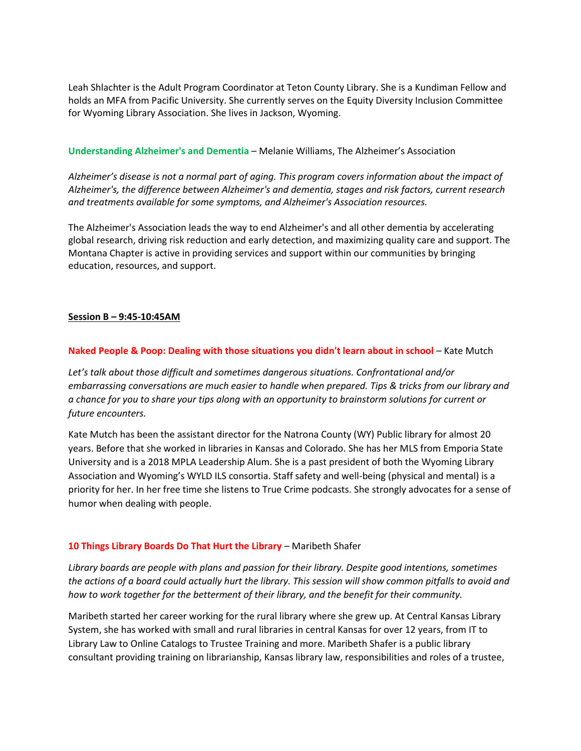Leah Shlachter is the Adult Program Coordinator at Teton County Library. She is a Kundiman Fellow and holds an MFA from Pacific University. She currently serves on the Equity Diversity Inclusion Committee for Wyoming Library Association. She lives in Jackson, Wyoming.

### **Understanding Alzheimer's and Dementia** – Melanie Williams, The Alzheimer's Association

*Alzheimer's disease is not a normal part of aging. This program covers information about the impact of Alzheimer's, the difference between Alzheimer's and dementia, stages and risk factors, current research and treatments available for some symptoms, and Alzheimer's Association resources.*

The Alzheimer's Association leads the way to end Alzheimer's and all other dementia by accelerating global research, driving risk reduction and early detection, and maximizing quality care and support. The Montana Chapter is active in providing services and support within our communities by bringing education, resources, and support.

# **Session B – 9:45-10:45AM**

### **Naked People & Poop: Dealing with those situations you didn't learn about in school** – Kate Mutch

*Let's talk about those difficult and sometimes dangerous situations. Confrontational and/or embarrassing conversations are much easier to handle when prepared. Tips & tricks from our library and a chance for you to share your tips along with an opportunity to brainstorm solutions for current or future encounters.*

Kate Mutch has been the assistant director for the Natrona County (WY) Public library for almost 20 years. Before that she worked in libraries in Kansas and Colorado. She has her MLS from Emporia State University and is a 2018 MPLA Leadership Alum. She is a past president of both the Wyoming Library Association and Wyoming's WYLD ILS consortia. Staff safety and well-being (physical and mental) is a priority for her. In her free time she listens to True Crime podcasts. She strongly advocates for a sense of humor when dealing with people.

# **10 Things Library Boards Do That Hurt the Library** – Maribeth Shafer

*Library boards are people with plans and passion for their library. Despite good intentions, sometimes the actions of a board could actually hurt the library. This session will show common pitfalls to avoid and how to work together for the betterment of their library, and the benefit for their community.*

Maribeth started her career working for the rural library where she grew up. At Central Kansas Library System, she has worked with small and rural libraries in central Kansas for over 12 years, from IT to Library Law to Online Catalogs to Trustee Training and more. Maribeth Shafer is a public library consultant providing training on librarianship, Kansas library law, responsibilities and roles of a trustee,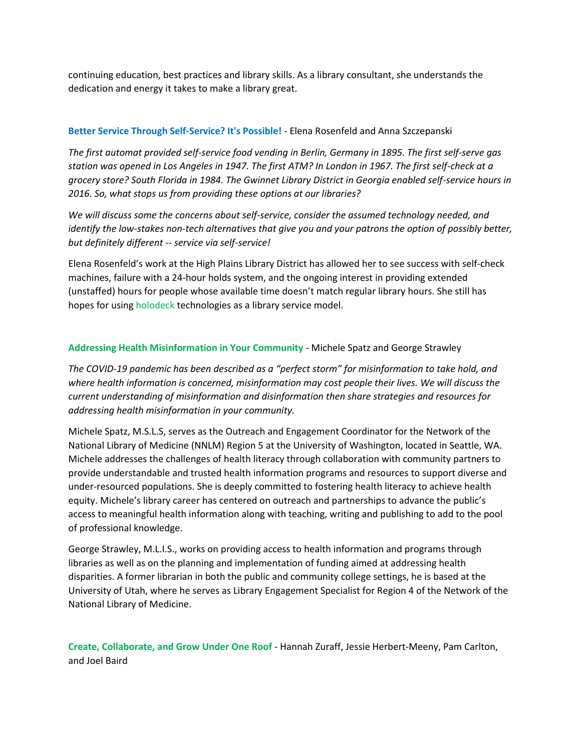continuing education, best practices and library skills. As a library consultant, she understands the dedication and energy it takes to make a library great.

# **Better Service Through Self-Service? It's Possible!** - Elena Rosenfeld and Anna Szczepanski

*The first automat provided self-service food vending in Berlin, Germany in 1895. The first self-serve gas station was opened in Los Angeles in 1947. The first ATM? In London in 1967. The first self-check at a grocery store? South Florida in 1984. The Gwinnet Library District in Georgia enabled self-service hours in 2016. So, what stops us from providing these options at our libraries?*

*We will discuss some the concerns about self-service, consider the assumed technology needed, and identify the low-stakes non-tech alternatives that give you and your patrons the option of possibly better, but definitely different -- service via self-service!*

Elena Rosenfeld's work at the High Plains Library District has allowed her to see success with self-check machines, failure with a 24-hour holds system, and the ongoing interest in providing extended (unstaffed) hours for people whose available time doesn't match regular library hours. She still has hopes for using holodeck technologies as a library service model.

# **Addressing Health Misinformation in Your Community** - Michele Spatz and George Strawley

*The COVID-19 pandemic has been described as a "perfect storm" for misinformation to take hold, and where health information is concerned, misinformation may cost people their lives. We will discuss the current understanding of misinformation and disinformation then share strategies and resources for addressing health misinformation in your community.*

Michele Spatz, M.S.L.S, serves as the Outreach and Engagement Coordinator for the Network of the National Library of Medicine (NNLM) Region 5 at the University of Washington, located in Seattle, WA. Michele addresses the challenges of health literacy through collaboration with community partners to provide understandable and trusted health information programs and resources to support diverse and under-resourced populations. She is deeply committed to fostering health literacy to achieve health equity. Michele's library career has centered on outreach and partnerships to advance the public's access to meaningful health information along with teaching, writing and publishing to add to the pool of professional knowledge.

George Strawley, M.L.I.S., works on providing access to health information and programs through libraries as well as on the planning and implementation of funding aimed at addressing health disparities. A former librarian in both the public and community college settings, he is based at the University of Utah, where he serves as Library Engagement Specialist for Region 4 of the Network of the National Library of Medicine.

**Create, Collaborate, and Grow Under One Roof** - Hannah Zuraff, Jessie Herbert-Meeny, Pam Carlton, and Joel Baird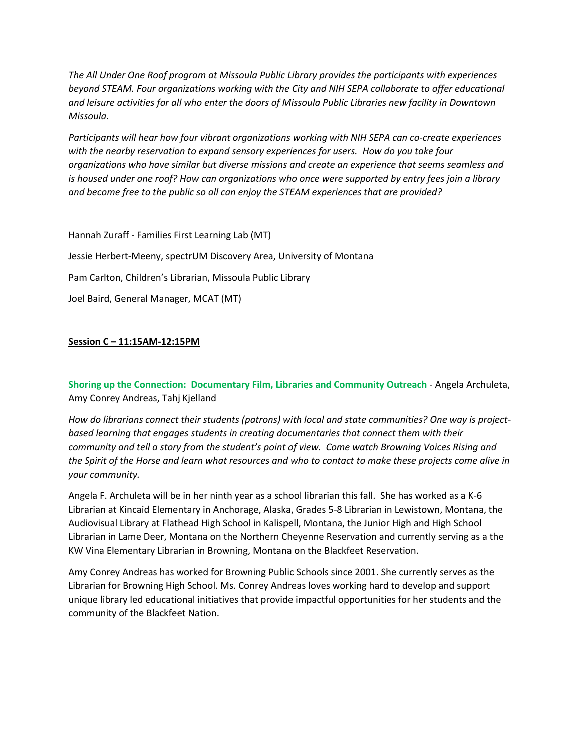*The All Under One Roof program at Missoula Public Library provides the participants with experiences beyond STEAM. Four organizations working with the City and NIH SEPA collaborate to offer educational and leisure activities for all who enter the doors of Missoula Public Libraries new facility in Downtown Missoula.*

*Participants will hear how four vibrant organizations working with NIH SEPA can co-create experiences with the nearby reservation to expand sensory experiences for users. How do you take four organizations who have similar but diverse missions and create an experience that seems seamless and is housed under one roof? How can organizations who once were supported by entry fees join a library and become free to the public so all can enjoy the STEAM experiences that are provided?*

Hannah Zuraff - Families First Learning Lab (MT) Jessie Herbert-Meeny, spectrUM Discovery Area, University of Montana Pam Carlton, Children's Librarian, Missoula Public Library Joel Baird, General Manager, MCAT (MT)

# **Session C – 11:15AM-12:15PM**

**Shoring up the Connection: Documentary Film, Libraries and Community Outreach** - Angela Archuleta, Amy Conrey Andreas, Tahj Kjelland

*How do librarians connect their students (patrons) with local and state communities? One way is projectbased learning that engages students in creating documentaries that connect them with their community and tell a story from the student's point of view. Come watch Browning Voices Rising and the Spirit of the Horse and learn what resources and who to contact to make these projects come alive in your community.*

Angela F. Archuleta will be in her ninth year as a school librarian this fall. She has worked as a K-6 Librarian at Kincaid Elementary in Anchorage, Alaska, Grades 5-8 Librarian in Lewistown, Montana, the Audiovisual Library at Flathead High School in Kalispell, Montana, the Junior High and High School Librarian in Lame Deer, Montana on the Northern Cheyenne Reservation and currently serving as a the KW Vina Elementary Librarian in Browning, Montana on the Blackfeet Reservation.

Amy Conrey Andreas has worked for Browning Public Schools since 2001. She currently serves as the Librarian for Browning High School. Ms. Conrey Andreas loves working hard to develop and support unique library led educational initiatives that provide impactful opportunities for her students and the community of the Blackfeet Nation.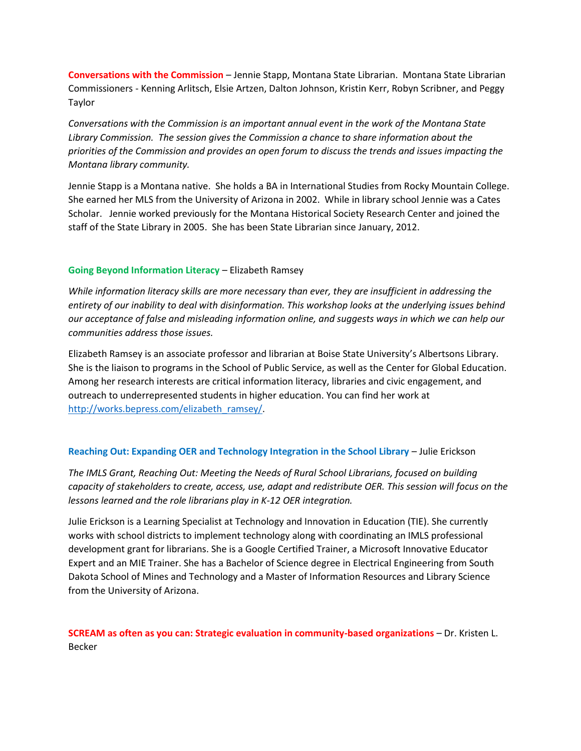**Conversations with the Commission** – Jennie Stapp, Montana State Librarian. Montana State Librarian Commissioners - Kenning Arlitsch, Elsie Artzen, Dalton Johnson, Kristin Kerr, Robyn Scribner, and Peggy Taylor

*Conversations with the Commission is an important annual event in the work of the Montana State Library Commission. The session gives the Commission a chance to share information about the priorities of the Commission and provides an open forum to discuss the trends and issues impacting the Montana library community.*

Jennie Stapp is a Montana native. She holds a BA in International Studies from Rocky Mountain College. She earned her MLS from the University of Arizona in 2002. While in library school Jennie was a Cates Scholar. Jennie worked previously for the Montana Historical Society Research Center and joined the staff of the State Library in 2005. She has been State Librarian since January, 2012.

### **Going Beyond Information Literacy** – Elizabeth Ramsey

*While information literacy skills are more necessary than ever, they are insufficient in addressing the entirety of our inability to deal with disinformation. This workshop looks at the underlying issues behind our acceptance of false and misleading information online, and suggests ways in which we can help our communities address those issues.*

Elizabeth Ramsey is an associate professor and librarian at Boise State University's Albertsons Library. She is the liaison to programs in the School of Public Service, as well as the Center for Global Education. Among her research interests are critical information literacy, libraries and civic engagement, and outreach to underrepresented students in higher education. You can find her work at [http://works.bepress.com/elizabeth\\_ramsey/.](http://works.bepress.com/elizabeth_ramsey/)

# **Reaching Out: Expanding OER and Technology Integration in the School Library** – Julie Erickson

*The IMLS Grant, Reaching Out: Meeting the Needs of Rural School Librarians, focused on building capacity of stakeholders to create, access, use, adapt and redistribute OER. This session will focus on the lessons learned and the role librarians play in K-12 OER integration.*

Julie Erickson is a Learning Specialist at Technology and Innovation in Education (TIE). She currently works with school districts to implement technology along with coordinating an IMLS professional development grant for librarians. She is a Google Certified Trainer, a Microsoft Innovative Educator Expert and an MIE Trainer. She has a Bachelor of Science degree in Electrical Engineering from South Dakota School of Mines and Technology and a Master of Information Resources and Library Science from the University of Arizona.

**SCREAM as often as you can: Strategic evaluation in community-based organizations** – Dr. Kristen L. Becker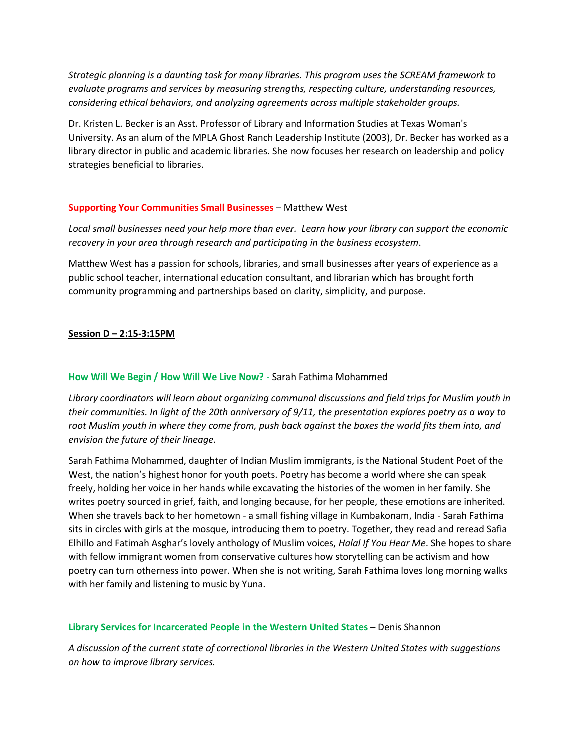*Strategic planning is a daunting task for many libraries. This program uses the SCREAM framework to evaluate programs and services by measuring strengths, respecting culture, understanding resources, considering ethical behaviors, and analyzing agreements across multiple stakeholder groups.*

Dr. Kristen L. Becker is an Asst. Professor of Library and Information Studies at Texas Woman's University. As an alum of the MPLA Ghost Ranch Leadership Institute (2003), Dr. Becker has worked as a library director in public and academic libraries. She now focuses her research on leadership and policy strategies beneficial to libraries.

# **Supporting Your Communities Small Businesses** – Matthew West

*Local small businesses need your help more than ever. Learn how your library can support the economic recovery in your area through research and participating in the business ecosystem*.

Matthew West has a passion for schools, libraries, and small businesses after years of experience as a public school teacher, international education consultant, and librarian which has brought forth community programming and partnerships based on clarity, simplicity, and purpose.

# **Session D – 2:15-3:15PM**

# **How Will We Begin / How Will We Live Now?** - Sarah Fathima Mohammed

*Library coordinators will learn about organizing communal discussions and field trips for Muslim youth in their communities. In light of the 20th anniversary of 9/11, the presentation explores poetry as a way to root Muslim youth in where they come from, push back against the boxes the world fits them into, and envision the future of their lineage.*

Sarah Fathima Mohammed, daughter of Indian Muslim immigrants, is the National Student Poet of the West, the nation's highest honor for youth poets. Poetry has become a world where she can speak freely, holding her voice in her hands while excavating the histories of the women in her family. She writes poetry sourced in grief, faith, and longing because, for her people, these emotions are inherited. When she travels back to her hometown - a small fishing village in Kumbakonam, India - Sarah Fathima sits in circles with girls at the mosque, introducing them to poetry. Together, they read and reread Safia Elhillo and Fatimah Asghar's lovely anthology of Muslim voices, *Halal If You Hear Me*. She hopes to share with fellow immigrant women from conservative cultures how storytelling can be activism and how poetry can turn otherness into power. When she is not writing, Sarah Fathima loves long morning walks with her family and listening to music by Yuna.

#### **Library Services for Incarcerated People in the Western United States** – Denis Shannon

*A discussion of the current state of correctional libraries in the Western United States with suggestions on how to improve library services.*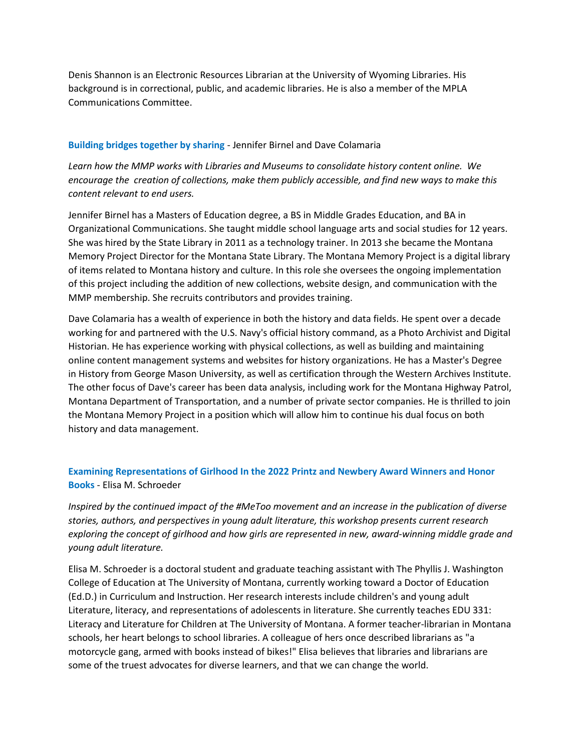Denis Shannon is an Electronic Resources Librarian at the University of Wyoming Libraries. His background is in correctional, public, and academic libraries. He is also a member of the MPLA Communications Committee.

### **Building bridges together by sharing** - Jennifer Birnel and Dave Colamaria

*Learn how the MMP works with Libraries and Museums to consolidate history content online. We encourage the creation of collections, make them publicly accessible, and find new ways to make this content relevant to end users.*

Jennifer Birnel has a Masters of Education degree, a BS in Middle Grades Education, and BA in Organizational Communications. She taught middle school language arts and social studies for 12 years. She was hired by the State Library in 2011 as a technology trainer. In 2013 she became the Montana Memory Project Director for the Montana State Library. The Montana Memory Project is a digital library of items related to Montana history and culture. In this role she oversees the ongoing implementation of this project including the addition of new collections, website design, and communication with the MMP membership. She recruits contributors and provides training.

Dave Colamaria has a wealth of experience in both the history and data fields. He spent over a decade working for and partnered with the U.S. Navy's official history command, as a Photo Archivist and Digital Historian. He has experience working with physical collections, as well as building and maintaining online content management systems and websites for history organizations. He has a Master's Degree in History from George Mason University, as well as certification through the Western Archives Institute. The other focus of Dave's career has been data analysis, including work for the Montana Highway Patrol, Montana Department of Transportation, and a number of private sector companies. He is thrilled to join the Montana Memory Project in a position which will allow him to continue his dual focus on both history and data management.

# **Examining Representations of Girlhood In the 2022 Printz and Newbery Award Winners and Honor Books** - Elisa M. Schroeder

*Inspired by the continued impact of the #MeToo movement and an increase in the publication of diverse stories, authors, and perspectives in young adult literature, this workshop presents current research exploring the concept of girlhood and how girls are represented in new, award-winning middle grade and young adult literature.*

Elisa M. Schroeder is a doctoral student and graduate teaching assistant with The Phyllis J. Washington College of Education at The University of Montana, currently working toward a Doctor of Education (Ed.D.) in Curriculum and Instruction. Her research interests include children's and young adult Literature, literacy, and representations of adolescents in literature. She currently teaches EDU 331: Literacy and Literature for Children at The University of Montana. A former teacher-librarian in Montana schools, her heart belongs to school libraries. A colleague of hers once described librarians as "a motorcycle gang, armed with books instead of bikes!" Elisa believes that libraries and librarians are some of the truest advocates for diverse learners, and that we can change the world.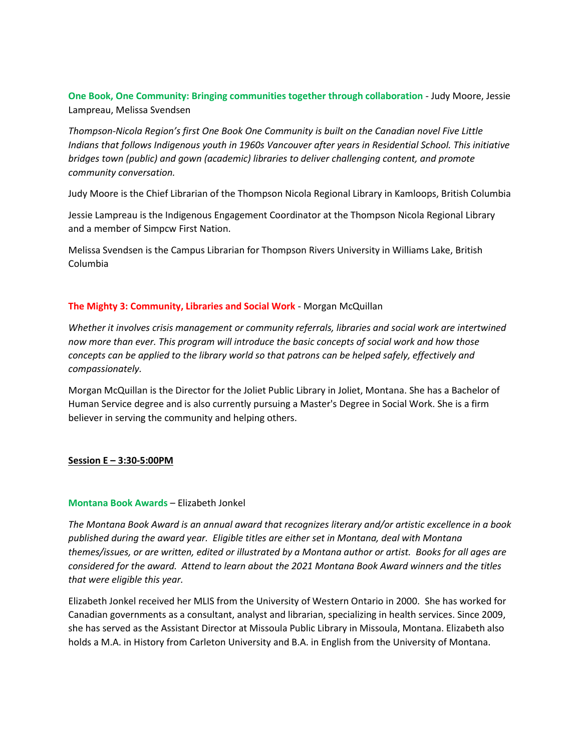**One Book, One Community: Bringing communities together through collaboration** - Judy Moore, Jessie Lampreau, Melissa Svendsen

*Thompson-Nicola Region's first One Book One Community is built on the Canadian novel Five Little Indians that follows Indigenous youth in 1960s Vancouver after years in Residential School. This initiative bridges town (public) and gown (academic) libraries to deliver challenging content, and promote community conversation.*

Judy Moore is the Chief Librarian of the Thompson Nicola Regional Library in Kamloops, British Columbia

Jessie Lampreau is the Indigenous Engagement Coordinator at the Thompson Nicola Regional Library and a member of Simpcw First Nation.

Melissa Svendsen is the Campus Librarian for Thompson Rivers University in Williams Lake, British Columbia

# **The Mighty 3: Community, Libraries and Social Work** - Morgan McQuillan

*Whether it involves crisis management or community referrals, libraries and social work are intertwined now more than ever. This program will introduce the basic concepts of social work and how those concepts can be applied to the library world so that patrons can be helped safely, effectively and compassionately.*

Morgan McQuillan is the Director for the Joliet Public Library in Joliet, Montana. She has a Bachelor of Human Service degree and is also currently pursuing a Master's Degree in Social Work. She is a firm believer in serving the community and helping others.

#### **Session E – 3:30-5:00PM**

#### **Montana Book Awards** – Elizabeth Jonkel

*The Montana Book Award is an annual award that recognizes literary and/or artistic excellence in a book published during the award year. Eligible titles are either set in Montana, deal with Montana themes/issues, or are written, edited or illustrated by a Montana author or artist. Books for all ages are considered for the award. Attend to learn about the 2021 Montana Book Award winners and the titles that were eligible this year.*

Elizabeth Jonkel received her MLIS from the University of Western Ontario in 2000. She has worked for Canadian governments as a consultant, analyst and librarian, specializing in health services. Since 2009, she has served as the Assistant Director at Missoula Public Library in Missoula, Montana. Elizabeth also holds a M.A. in History from Carleton University and B.A. in English from the University of Montana.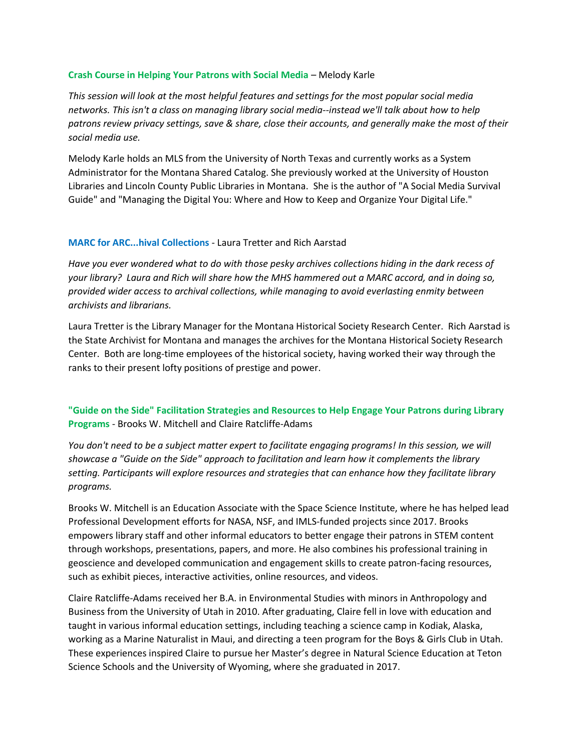### **Crash Course in Helping Your Patrons with Social Media** – Melody Karle

*This session will look at the most helpful features and settings for the most popular social media networks. This isn't a class on managing library social media--instead we'll talk about how to help patrons review privacy settings, save & share, close their accounts, and generally make the most of their social media use.*

Melody Karle holds an MLS from the University of North Texas and currently works as a System Administrator for the Montana Shared Catalog. She previously worked at the University of Houston Libraries and Lincoln County Public Libraries in Montana. She is the author of "A Social Media Survival Guide" and "Managing the Digital You: Where and How to Keep and Organize Your Digital Life."

### **MARC for ARC...hival Collections** - Laura Tretter and Rich Aarstad

*Have you ever wondered what to do with those pesky archives collections hiding in the dark recess of your library? Laura and Rich will share how the MHS hammered out a MARC accord, and in doing so, provided wider access to archival collections, while managing to avoid everlasting enmity between archivists and librarians.*

Laura Tretter is the Library Manager for the Montana Historical Society Research Center. Rich Aarstad is the State Archivist for Montana and manages the archives for the Montana Historical Society Research Center. Both are long-time employees of the historical society, having worked their way through the ranks to their present lofty positions of prestige and power.

# **"Guide on the Side" Facilitation Strategies and Resources to Help Engage Your Patrons during Library Programs** - Brooks W. Mitchell and Claire Ratcliffe-Adams

*You don't need to be a subject matter expert to facilitate engaging programs! In this session, we will showcase a "Guide on the Side" approach to facilitation and learn how it complements the library setting. Participants will explore resources and strategies that can enhance how they facilitate library programs.*

Brooks W. Mitchell is an Education Associate with the Space Science Institute, where he has helped lead Professional Development efforts for NASA, NSF, and IMLS-funded projects since 2017. Brooks empowers library staff and other informal educators to better engage their patrons in STEM content through workshops, presentations, papers, and more. He also combines his professional training in geoscience and developed communication and engagement skills to create patron-facing resources, such as exhibit pieces, interactive activities, online resources, and videos.

Claire Ratcliffe-Adams received her B.A. in Environmental Studies with minors in Anthropology and Business from the University of Utah in 2010. After graduating, Claire fell in love with education and taught in various informal education settings, including teaching a science camp in Kodiak, Alaska, working as a Marine Naturalist in Maui, and directing a teen program for the Boys & Girls Club in Utah. These experiences inspired Claire to pursue her Master's degree in Natural Science Education at Teton Science Schools and the University of Wyoming, where she graduated in 2017.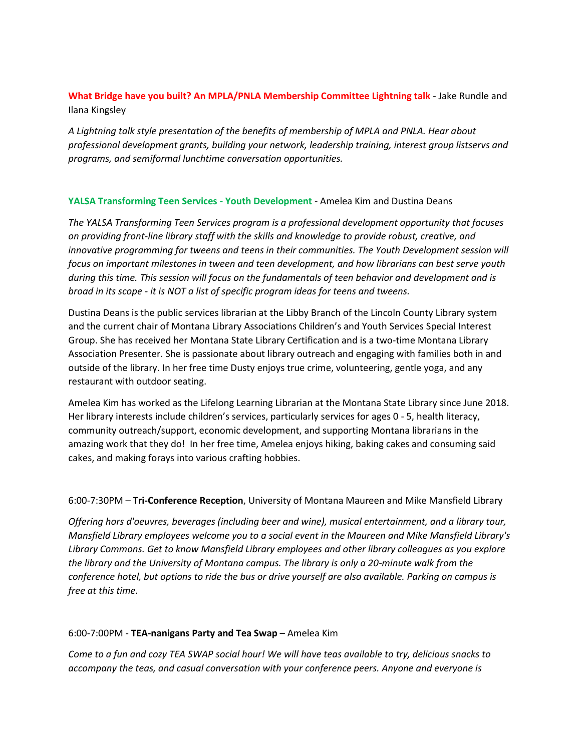# **What Bridge have you built? An MPLA/PNLA Membership Committee Lightning talk** - Jake Rundle and Ilana Kingsley

*A Lightning talk style presentation of the benefits of membership of MPLA and PNLA. Hear about professional development grants, building your network, leadership training, interest group listservs and programs, and semiformal lunchtime conversation opportunities.*

# **YALSA Transforming Teen Services - Youth Development** - Amelea Kim and Dustina Deans

*The YALSA Transforming Teen Services program is a professional development opportunity that focuses on providing front-line library staff with the skills and knowledge to provide robust, creative, and innovative programming for tweens and teens in their communities. The Youth Development session will focus on important milestones in tween and teen development, and how librarians can best serve youth during this time. This session will focus on the fundamentals of teen behavior and development and is broad in its scope - it is NOT a list of specific program ideas for teens and tweens.*

Dustina Deans is the public services librarian at the Libby Branch of the Lincoln County Library system and the current chair of Montana Library Associations Children's and Youth Services Special Interest Group. She has received her Montana State Library Certification and is a two-time Montana Library Association Presenter. She is passionate about library outreach and engaging with families both in and outside of the library. In her free time Dusty enjoys true crime, volunteering, gentle yoga, and any restaurant with outdoor seating.

Amelea Kim has worked as the Lifelong Learning Librarian at the Montana State Library since June 2018. Her library interests include children's services, particularly services for ages 0 - 5, health literacy, community outreach/support, economic development, and supporting Montana librarians in the amazing work that they do! In her free time, Amelea enjoys hiking, baking cakes and consuming said cakes, and making forays into various crafting hobbies.

# 6:00-7:30PM – **Tri-Conference Reception**, University of Montana Maureen and Mike Mansfield Library

*Offering hors d'oeuvres, beverages (including beer and wine), musical entertainment, and a library tour, Mansfield Library employees welcome you to a social event in the Maureen and Mike Mansfield Library's Library Commons. Get to know Mansfield Library employees and other library colleagues as you explore the library and the University of Montana campus. The library is only a 20-minute walk from the conference hotel, but options to ride the bus or drive yourself are also available. Parking on campus is free at this time.*

# 6:00-7:00PM - **TEA-nanigans Party and Tea Swap** – Amelea Kim

*Come to a fun and cozy TEA SWAP social hour! We will have teas available to try, delicious snacks to accompany the teas, and casual conversation with your conference peers. Anyone and everyone is*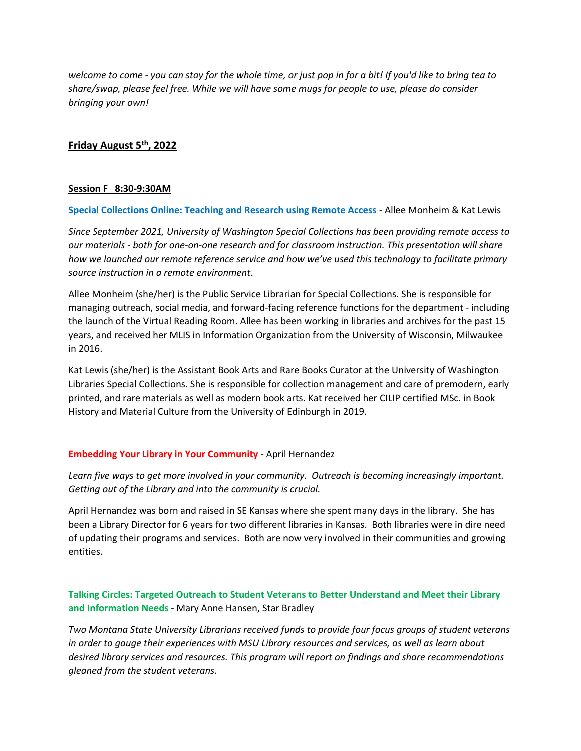*welcome to come - you can stay for the whole time, or just pop in for a bit! If you'd like to bring tea to share/swap, please feel free. While we will have some mugs for people to use, please do consider bringing your own!*

# **Friday August 5 th, 2022**

### **Session F 8:30-9:30AM**

**Special Collections Online: Teaching and Research using Remote Access** - Allee Monheim & Kat Lewis

*Since September 2021, University of Washington Special Collections has been providing remote access to our materials - both for one-on-one research and for classroom instruction. This presentation will share how we launched our remote reference service and how we've used this technology to facilitate primary source instruction in a remote environment*.

Allee Monheim (she/her) is the Public Service Librarian for Special Collections. She is responsible for managing outreach, social media, and forward-facing reference functions for the department - including the launch of the Virtual Reading Room. Allee has been working in libraries and archives for the past 15 years, and received her MLIS in Information Organization from the University of Wisconsin, Milwaukee in 2016.

Kat Lewis (she/her) is the Assistant Book Arts and Rare Books Curator at the University of Washington Libraries Special Collections. She is responsible for collection management and care of premodern, early printed, and rare materials as well as modern book arts. Kat received her CILIP certified MSc. in Book History and Material Culture from the University of Edinburgh in 2019.

# **Embedding Your Library in Your Community** - April Hernandez

*Learn five ways to get more involved in your community. Outreach is becoming increasingly important. Getting out of the Library and into the community is crucial.*

April Hernandez was born and raised in SE Kansas where she spent many days in the library. She has been a Library Director for 6 years for two different libraries in Kansas. Both libraries were in dire need of updating their programs and services. Both are now very involved in their communities and growing entities.

# **Talking Circles: Targeted Outreach to Student Veterans to Better Understand and Meet their Library and Information Needs** - Mary Anne Hansen, Star Bradley

*Two Montana State University Librarians received funds to provide four focus groups of student veterans in order to gauge their experiences with MSU Library resources and services, as well as learn about desired library services and resources. This program will report on findings and share recommendations gleaned from the student veterans.*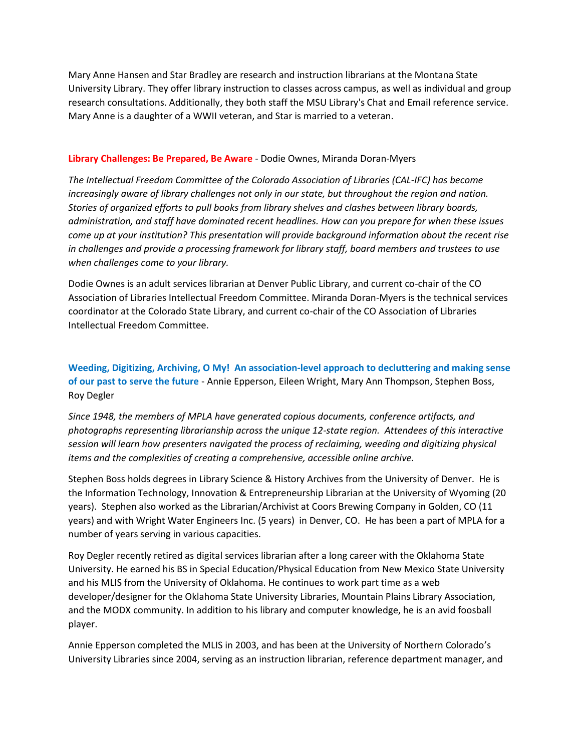Mary Anne Hansen and Star Bradley are research and instruction librarians at the Montana State University Library. They offer library instruction to classes across campus, as well as individual and group research consultations. Additionally, they both staff the MSU Library's Chat and Email reference service. Mary Anne is a daughter of a WWII veteran, and Star is married to a veteran.

### **Library Challenges: Be Prepared, Be Aware** - Dodie Ownes, Miranda Doran-Myers

*The Intellectual Freedom Committee of the Colorado Association of Libraries (CAL-IFC) has become increasingly aware of library challenges not only in our state, but throughout the region and nation. Stories of organized efforts to pull books from library shelves and clashes between library boards, administration, and staff have dominated recent headlines. How can you prepare for when these issues come up at your institution? This presentation will provide background information about the recent rise in challenges and provide a processing framework for library staff, board members and trustees to use when challenges come to your library.*

Dodie Ownes is an adult services librarian at Denver Public Library, and current co-chair of the CO Association of Libraries Intellectual Freedom Committee. Miranda Doran-Myers is the technical services coordinator at the Colorado State Library, and current co-chair of the CO Association of Libraries Intellectual Freedom Committee.

**Weeding, Digitizing, Archiving, O My! An association-level approach to decluttering and making sense of our past to serve the future** - Annie Epperson, Eileen Wright, Mary Ann Thompson, Stephen Boss, Roy Degler

*Since 1948, the members of MPLA have generated copious documents, conference artifacts, and photographs representing librarianship across the unique 12-state region. Attendees of this interactive session will learn how presenters navigated the process of reclaiming, weeding and digitizing physical items and the complexities of creating a comprehensive, accessible online archive.*

Stephen Boss holds degrees in Library Science & History Archives from the University of Denver. He is the Information Technology, Innovation & Entrepreneurship Librarian at the University of Wyoming (20 years). Stephen also worked as the Librarian/Archivist at Coors Brewing Company in Golden, CO (11 years) and with Wright Water Engineers Inc. (5 years) in Denver, CO. He has been a part of MPLA for a number of years serving in various capacities.

Roy Degler recently retired as digital services librarian after a long career with the Oklahoma State University. He earned his BS in Special Education/Physical Education from New Mexico State University and his MLIS from the University of Oklahoma. He continues to work part time as a web developer/designer for the Oklahoma State University Libraries, Mountain Plains Library Association, and the MODX community. In addition to his library and computer knowledge, he is an avid foosball player.

Annie Epperson completed the MLIS in 2003, and has been at the University of Northern Colorado's University Libraries since 2004, serving as an instruction librarian, reference department manager, and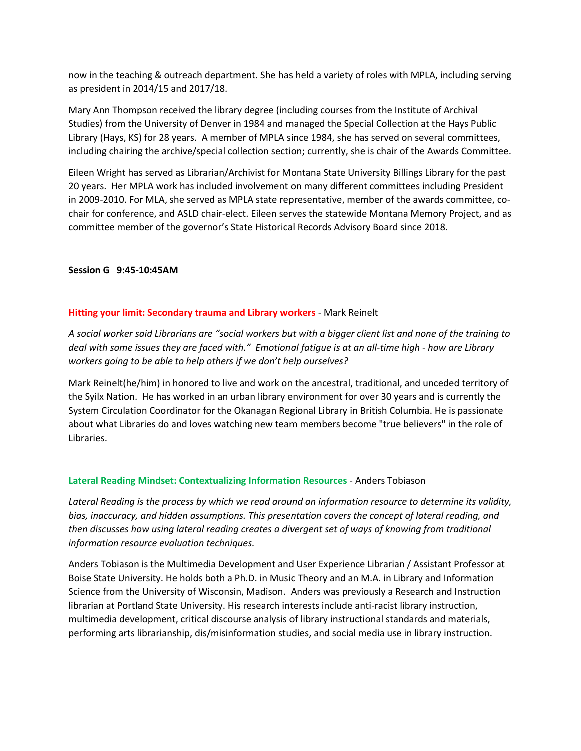now in the teaching & outreach department. She has held a variety of roles with MPLA, including serving as president in 2014/15 and 2017/18.

Mary Ann Thompson received the library degree (including courses from the Institute of Archival Studies) from the University of Denver in 1984 and managed the Special Collection at the Hays Public Library (Hays, KS) for 28 years. A member of MPLA since 1984, she has served on several committees, including chairing the archive/special collection section; currently, she is chair of the Awards Committee.

Eileen Wright has served as Librarian/Archivist for Montana State University Billings Library for the past 20 years. Her MPLA work has included involvement on many different committees including President in 2009-2010. For MLA, she served as MPLA state representative, member of the awards committee, cochair for conference, and ASLD chair-elect. Eileen serves the statewide Montana Memory Project, and as committee member of the governor's State Historical Records Advisory Board since 2018.

# **Session G 9:45-10:45AM**

# **Hitting your limit: Secondary trauma and Library workers** - Mark Reinelt

*A social worker said Librarians are "social workers but with a bigger client list and none of the training to deal with some issues they are faced with." Emotional fatigue is at an all-time high - how are Library workers going to be able to help others if we don't help ourselves?*

Mark Reinelt(he/him) in honored to live and work on the ancestral, traditional, and unceded territory of the Syilx Nation. He has worked in an urban library environment for over 30 years and is currently the System Circulation Coordinator for the Okanagan Regional Library in British Columbia. He is passionate about what Libraries do and loves watching new team members become "true believers" in the role of Libraries.

# **Lateral Reading Mindset: Contextualizing Information Resources** - Anders Tobiason

*Lateral Reading is the process by which we read around an information resource to determine its validity, bias, inaccuracy, and hidden assumptions. This presentation covers the concept of lateral reading, and then discusses how using lateral reading creates a divergent set of ways of knowing from traditional information resource evaluation techniques.*

Anders Tobiason is the Multimedia Development and User Experience Librarian / Assistant Professor at Boise State University. He holds both a Ph.D. in Music Theory and an M.A. in Library and Information Science from the University of Wisconsin, Madison. Anders was previously a Research and Instruction librarian at Portland State University. His research interests include anti-racist library instruction, multimedia development, critical discourse analysis of library instructional standards and materials, performing arts librarianship, dis/misinformation studies, and social media use in library instruction.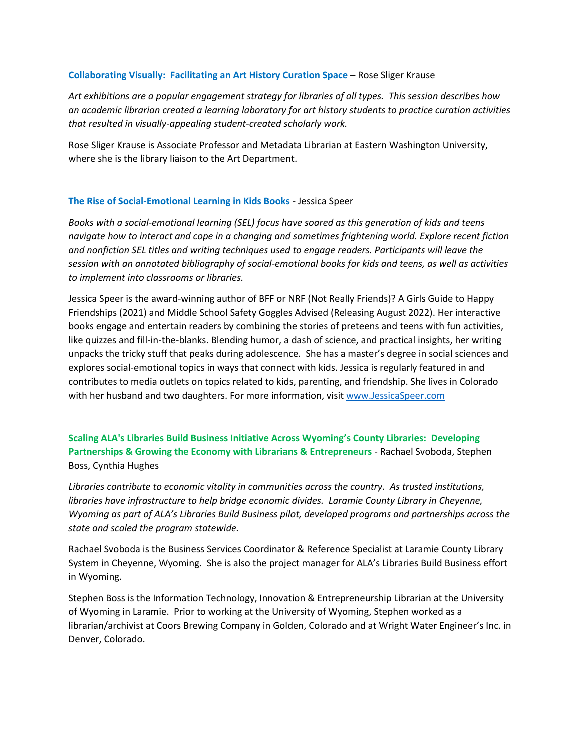#### **Collaborating Visually: Facilitating an Art History Curation Space** – Rose Sliger Krause

*Art exhibitions are a popular engagement strategy for libraries of all types. This session describes how an academic librarian created a learning laboratory for art history students to practice curation activities that resulted in visually-appealing student-created scholarly work.*

Rose Sliger Krause is Associate Professor and Metadata Librarian at Eastern Washington University, where she is the library liaison to the Art Department.

# **The Rise of Social-Emotional Learning in Kids Books** - Jessica Speer

*Books with a social-emotional learning (SEL) focus have soared as this generation of kids and teens navigate how to interact and cope in a changing and sometimes frightening world. Explore recent fiction and nonfiction SEL titles and writing techniques used to engage readers. Participants will leave the session with an annotated bibliography of social-emotional books for kids and teens, as well as activities to implement into classrooms or libraries.*

Jessica Speer is the award-winning author of BFF or NRF (Not Really Friends)? A Girls Guide to Happy Friendships (2021) and Middle School Safety Goggles Advised (Releasing August 2022). Her interactive books engage and entertain readers by combining the stories of preteens and teens with fun activities, like quizzes and fill-in-the-blanks. Blending humor, a dash of science, and practical insights, her writing unpacks the tricky stuff that peaks during adolescence. She has a master's degree in social sciences and explores social-emotional topics in ways that connect with kids. Jessica is regularly featured in and contributes to media outlets on topics related to kids, parenting, and friendship. She lives in Colorado with her husband and two daughters. For more information, visit [www.JessicaSpeer.com](http://www.jessicaspeer.com/)

**Scaling ALA's Libraries Build Business Initiative Across Wyoming's County Libraries: Developing Partnerships & Growing the Economy with Librarians & Entrepreneurs** - Rachael Svoboda, Stephen Boss, Cynthia Hughes

*Libraries contribute to economic vitality in communities across the country. As trusted institutions, libraries have infrastructure to help bridge economic divides. Laramie County Library in Cheyenne, Wyoming as part of ALA's Libraries Build Business pilot, developed programs and partnerships across the state and scaled the program statewide.*

Rachael Svoboda is the Business Services Coordinator & Reference Specialist at Laramie County Library System in Cheyenne, Wyoming. She is also the project manager for ALA's Libraries Build Business effort in Wyoming.

Stephen Boss is the Information Technology, Innovation & Entrepreneurship Librarian at the University of Wyoming in Laramie. Prior to working at the University of Wyoming, Stephen worked as a librarian/archivist at Coors Brewing Company in Golden, Colorado and at Wright Water Engineer's Inc. in Denver, Colorado.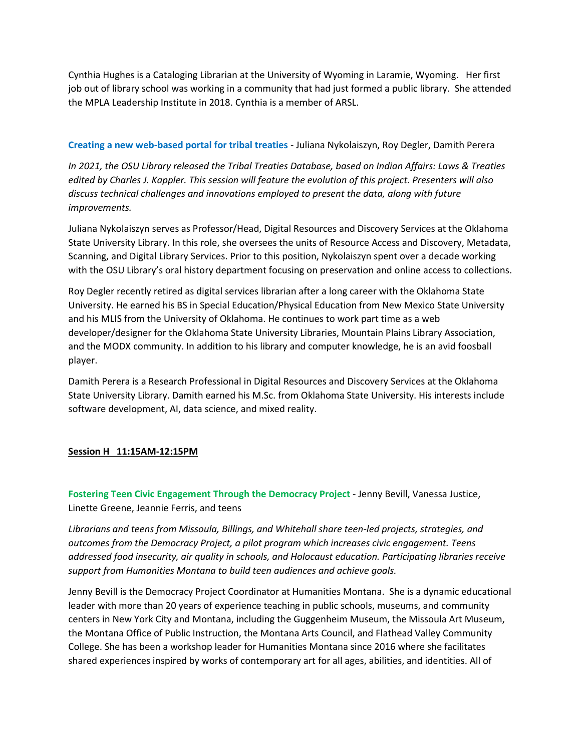Cynthia Hughes is a Cataloging Librarian at the University of Wyoming in Laramie, Wyoming. Her first job out of library school was working in a community that had just formed a public library. She attended the MPLA Leadership Institute in 2018. Cynthia is a member of ARSL.

# **Creating a new web-based portal for tribal treaties** - Juliana Nykolaiszyn, Roy Degler, Damith Perera

*In 2021, the OSU Library released the Tribal Treaties Database, based on Indian Affairs: Laws & Treaties edited by Charles J. Kappler. This session will feature the evolution of this project. Presenters will also discuss technical challenges and innovations employed to present the data, along with future improvements.*

Juliana Nykolaiszyn serves as Professor/Head, Digital Resources and Discovery Services at the Oklahoma State University Library. In this role, she oversees the units of Resource Access and Discovery, Metadata, Scanning, and Digital Library Services. Prior to this position, Nykolaiszyn spent over a decade working with the OSU Library's oral history department focusing on preservation and online access to collections.

Roy Degler recently retired as digital services librarian after a long career with the Oklahoma State University. He earned his BS in Special Education/Physical Education from New Mexico State University and his MLIS from the University of Oklahoma. He continues to work part time as a web developer/designer for the Oklahoma State University Libraries, Mountain Plains Library Association, and the MODX community. In addition to his library and computer knowledge, he is an avid foosball player.

Damith Perera is a Research Professional in Digital Resources and Discovery Services at the Oklahoma State University Library. Damith earned his M.Sc. from Oklahoma State University. His interests include software development, AI, data science, and mixed reality.

# **Session H 11:15AM-12:15PM**

**Fostering Teen Civic Engagement Through the Democracy Project** - Jenny Bevill, Vanessa Justice, Linette Greene, Jeannie Ferris, and teens

*Librarians and teens from Missoula, Billings, and Whitehall share teen-led projects, strategies, and outcomes from the Democracy Project, a pilot program which increases civic engagement. Teens addressed food insecurity, air quality in schools, and Holocaust education. Participating libraries receive support from Humanities Montana to build teen audiences and achieve goals.*

Jenny Bevill is the Democracy Project Coordinator at Humanities Montana. She is a dynamic educational leader with more than 20 years of experience teaching in public schools, museums, and community centers in New York City and Montana, including the Guggenheim Museum, the Missoula Art Museum, the Montana Office of Public Instruction, the Montana Arts Council, and Flathead Valley Community College. She has been a workshop leader for Humanities Montana since 2016 where she facilitates shared experiences inspired by works of contemporary art for all ages, abilities, and identities. All of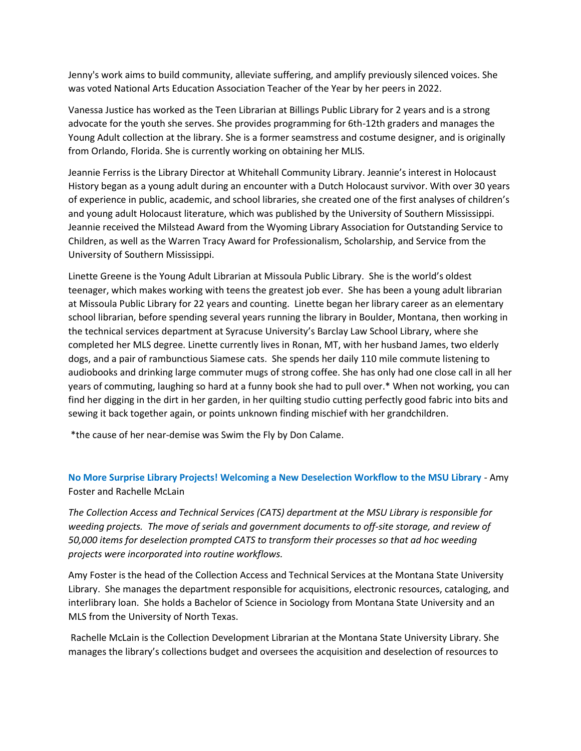Jenny's work aims to build community, alleviate suffering, and amplify previously silenced voices. She was voted National Arts Education Association Teacher of the Year by her peers in 2022.

Vanessa Justice has worked as the Teen Librarian at Billings Public Library for 2 years and is a strong advocate for the youth she serves. She provides programming for 6th-12th graders and manages the Young Adult collection at the library. She is a former seamstress and costume designer, and is originally from Orlando, Florida. She is currently working on obtaining her MLIS.

Jeannie Ferriss is the Library Director at Whitehall Community Library. Jeannie's interest in Holocaust History began as a young adult during an encounter with a Dutch Holocaust survivor. With over 30 years of experience in public, academic, and school libraries, she created one of the first analyses of children's and young adult Holocaust literature, which was published by the University of Southern Mississippi. Jeannie received the Milstead Award from the Wyoming Library Association for Outstanding Service to Children, as well as the Warren Tracy Award for Professionalism, Scholarship, and Service from the University of Southern Mississippi.

Linette Greene is the Young Adult Librarian at Missoula Public Library. She is the world's oldest teenager, which makes working with teens the greatest job ever. She has been a young adult librarian at Missoula Public Library for 22 years and counting. Linette began her library career as an elementary school librarian, before spending several years running the library in Boulder, Montana, then working in the technical services department at Syracuse University's Barclay Law School Library, where she completed her MLS degree. Linette currently lives in Ronan, MT, with her husband James, two elderly dogs, and a pair of rambunctious Siamese cats. She spends her daily 110 mile commute listening to audiobooks and drinking large commuter mugs of strong coffee. She has only had one close call in all her years of commuting, laughing so hard at a funny book she had to pull over.\* When not working, you can find her digging in the dirt in her garden, in her quilting studio cutting perfectly good fabric into bits and sewing it back together again, or points unknown finding mischief with her grandchildren.

\*the cause of her near-demise was Swim the Fly by Don Calame.

**No More Surprise Library Projects! Welcoming a New Deselection Workflow to the MSU Library** - Amy Foster and Rachelle McLain

*The Collection Access and Technical Services (CATS) department at the MSU Library is responsible for weeding projects. The move of serials and government documents to off-site storage, and review of 50,000 items for deselection prompted CATS to transform their processes so that ad hoc weeding projects were incorporated into routine workflows.*

Amy Foster is the head of the Collection Access and Technical Services at the Montana State University Library. She manages the department responsible for acquisitions, electronic resources, cataloging, and interlibrary loan. She holds a Bachelor of Science in Sociology from Montana State University and an MLS from the University of North Texas.

Rachelle McLain is the Collection Development Librarian at the Montana State University Library. She manages the library's collections budget and oversees the acquisition and deselection of resources to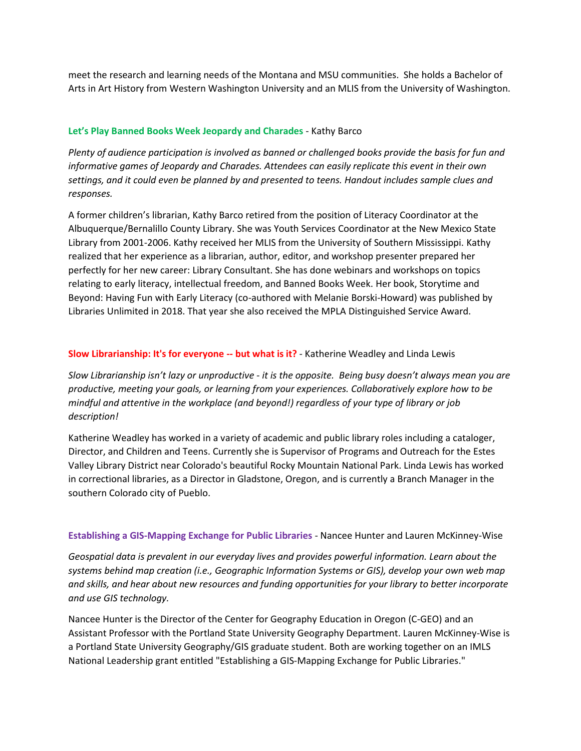meet the research and learning needs of the Montana and MSU communities. She holds a Bachelor of Arts in Art History from Western Washington University and an MLIS from the University of Washington.

# **Let's Play Banned Books Week Jeopardy and Charades** - Kathy Barco

*Plenty of audience participation is involved as banned or challenged books provide the basis for fun and informative games of Jeopardy and Charades. Attendees can easily replicate this event in their own settings, and it could even be planned by and presented to teens. Handout includes sample clues and responses.*

A former children's librarian, Kathy Barco retired from the position of Literacy Coordinator at the Albuquerque/Bernalillo County Library. She was Youth Services Coordinator at the New Mexico State Library from 2001-2006. Kathy received her MLIS from the University of Southern Mississippi. Kathy realized that her experience as a librarian, author, editor, and workshop presenter prepared her perfectly for her new career: Library Consultant. She has done webinars and workshops on topics relating to early literacy, intellectual freedom, and Banned Books Week. Her book, Storytime and Beyond: Having Fun with Early Literacy (co-authored with Melanie Borski-Howard) was published by Libraries Unlimited in 2018. That year she also received the MPLA Distinguished Service Award.

# **Slow Librarianship: It's for everyone -- but what is it?** - Katherine Weadley and Linda Lewis

*Slow Librarianship isn't lazy or unproductive - it is the opposite. Being busy doesn't always mean you are productive, meeting your goals, or learning from your experiences. Collaboratively explore how to be mindful and attentive in the workplace (and beyond!) regardless of your type of library or job description!*

Katherine Weadley has worked in a variety of academic and public library roles including a cataloger, Director, and Children and Teens. Currently she is Supervisor of Programs and Outreach for the Estes Valley Library District near Colorado's beautiful Rocky Mountain National Park. Linda Lewis has worked in correctional libraries, as a Director in Gladstone, Oregon, and is currently a Branch Manager in the southern Colorado city of Pueblo.

# **Establishing a GIS-Mapping Exchange for Public Libraries** - Nancee Hunter and Lauren McKinney-Wise

*Geospatial data is prevalent in our everyday lives and provides powerful information. Learn about the systems behind map creation (i.e., Geographic Information Systems or GIS), develop your own web map and skills, and hear about new resources and funding opportunities for your library to better incorporate and use GIS technology.*

Nancee Hunter is the Director of the Center for Geography Education in Oregon (C-GEO) and an Assistant Professor with the Portland State University Geography Department. Lauren McKinney-Wise is a Portland State University Geography/GIS graduate student. Both are working together on an IMLS National Leadership grant entitled "Establishing a GIS-Mapping Exchange for Public Libraries."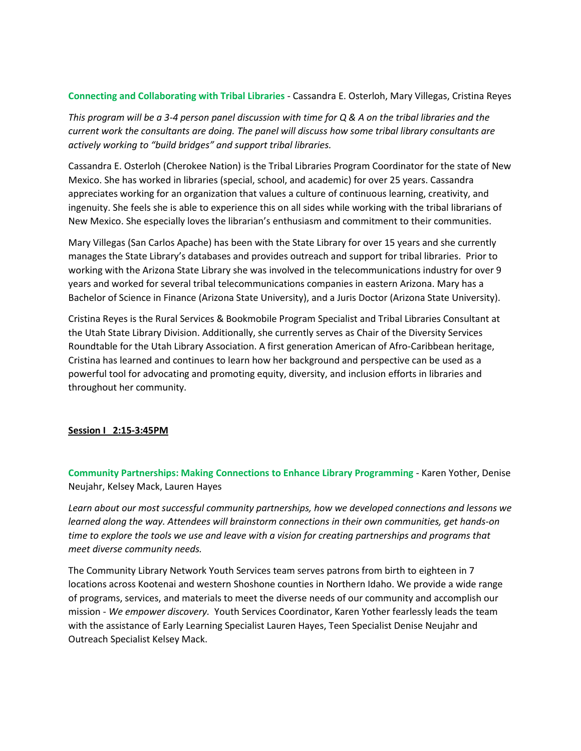### **Connecting and Collaborating with Tribal Libraries** - Cassandra E. Osterloh, Mary Villegas, Cristina Reyes

*This program will be a 3-4 person panel discussion with time for Q & A on the tribal libraries and the current work the consultants are doing. The panel will discuss how some tribal library consultants are actively working to "build bridges" and support tribal libraries.*

Cassandra E. Osterloh (Cherokee Nation) is the Tribal Libraries Program Coordinator for the state of New Mexico. She has worked in libraries (special, school, and academic) for over 25 years. Cassandra appreciates working for an organization that values a culture of continuous learning, creativity, and ingenuity. She feels she is able to experience this on all sides while working with the tribal librarians of New Mexico. She especially loves the librarian's enthusiasm and commitment to their communities.

Mary Villegas (San Carlos Apache) has been with the State Library for over 15 years and she currently manages the State Library's databases and provides outreach and support for tribal libraries. Prior to working with the Arizona State Library she was involved in the telecommunications industry for over 9 years and worked for several tribal telecommunications companies in eastern Arizona. Mary has a Bachelor of Science in Finance (Arizona State University), and a Juris Doctor (Arizona State University).

Cristina Reyes is the Rural Services & Bookmobile Program Specialist and Tribal Libraries Consultant at the Utah State Library Division. Additionally, she currently serves as Chair of the Diversity Services Roundtable for the Utah Library Association. A first generation American of Afro-Caribbean heritage, Cristina has learned and continues to learn how her background and perspective can be used as a powerful tool for advocating and promoting equity, diversity, and inclusion efforts in libraries and throughout her community.

# **Session I 2:15-3:45PM**

**Community Partnerships: Making Connections to Enhance Library Programming** - Karen Yother, Denise Neujahr, Kelsey Mack, Lauren Hayes

*Learn about our most successful community partnerships, how we developed connections and lessons we learned along the way. Attendees will brainstorm connections in their own communities, get hands-on time to explore the tools we use and leave with a vision for creating partnerships and programs that meet diverse community needs.*

The Community Library Network Youth Services team serves patrons from birth to eighteen in 7 locations across Kootenai and western Shoshone counties in Northern Idaho. We provide a wide range of programs, services, and materials to meet the diverse needs of our community and accomplish our mission - *We empower discovery.* Youth Services Coordinator, Karen Yother fearlessly leads the team with the assistance of Early Learning Specialist Lauren Hayes, Teen Specialist Denise Neujahr and Outreach Specialist Kelsey Mack.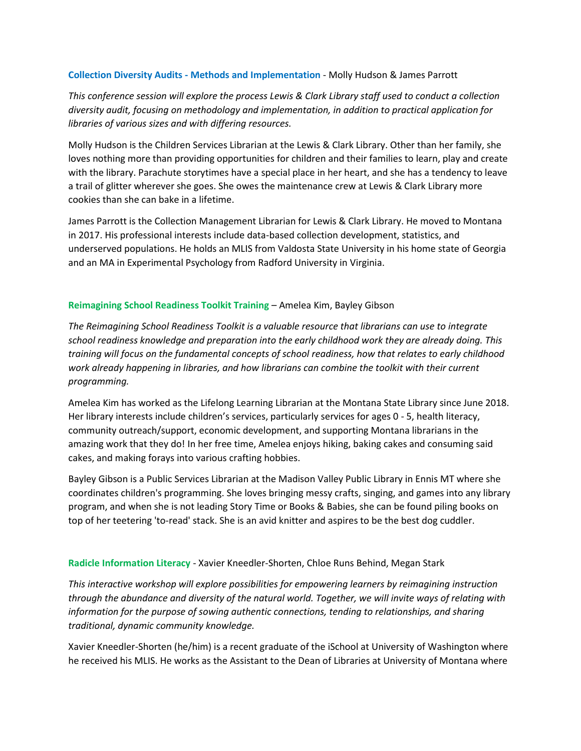### **Collection Diversity Audits - Methods and Implementation** - Molly Hudson & James Parrott

*This conference session will explore the process Lewis & Clark Library staff used to conduct a collection diversity audit, focusing on methodology and implementation, in addition to practical application for libraries of various sizes and with differing resources.*

Molly Hudson is the Children Services Librarian at the Lewis & Clark Library. Other than her family, she loves nothing more than providing opportunities for children and their families to learn, play and create with the library. Parachute storytimes have a special place in her heart, and she has a tendency to leave a trail of glitter wherever she goes. She owes the maintenance crew at Lewis & Clark Library more cookies than she can bake in a lifetime.

James Parrott is the Collection Management Librarian for Lewis & Clark Library. He moved to Montana in 2017. His professional interests include data-based collection development, statistics, and underserved populations. He holds an MLIS from Valdosta State University in his home state of Georgia and an MA in Experimental Psychology from Radford University in Virginia.

# **Reimagining School Readiness Toolkit Training** – Amelea Kim, Bayley Gibson

*The Reimagining School Readiness Toolkit is a valuable resource that librarians can use to integrate school readiness knowledge and preparation into the early childhood work they are already doing. This training will focus on the fundamental concepts of school readiness, how that relates to early childhood work already happening in libraries, and how librarians can combine the toolkit with their current programming.*

Amelea Kim has worked as the Lifelong Learning Librarian at the Montana State Library since June 2018. Her library interests include children's services, particularly services for ages 0 - 5, health literacy, community outreach/support, economic development, and supporting Montana librarians in the amazing work that they do! In her free time, Amelea enjoys hiking, baking cakes and consuming said cakes, and making forays into various crafting hobbies.

Bayley Gibson is a Public Services Librarian at the Madison Valley Public Library in Ennis MT where she coordinates children's programming. She loves bringing messy crafts, singing, and games into any library program, and when she is not leading Story Time or Books & Babies, she can be found piling books on top of her teetering 'to-read' stack. She is an avid knitter and aspires to be the best dog cuddler.

# **Radicle Information Literacy** - Xavier Kneedler-Shorten, Chloe Runs Behind, Megan Stark

*This interactive workshop will explore possibilities for empowering learners by reimagining instruction through the abundance and diversity of the natural world. Together, we will invite ways of relating with information for the purpose of sowing authentic connections, tending to relationships, and sharing traditional, dynamic community knowledge.*

Xavier Kneedler-Shorten (he/him) is a recent graduate of the iSchool at University of Washington where he received his MLIS. He works as the Assistant to the Dean of Libraries at University of Montana where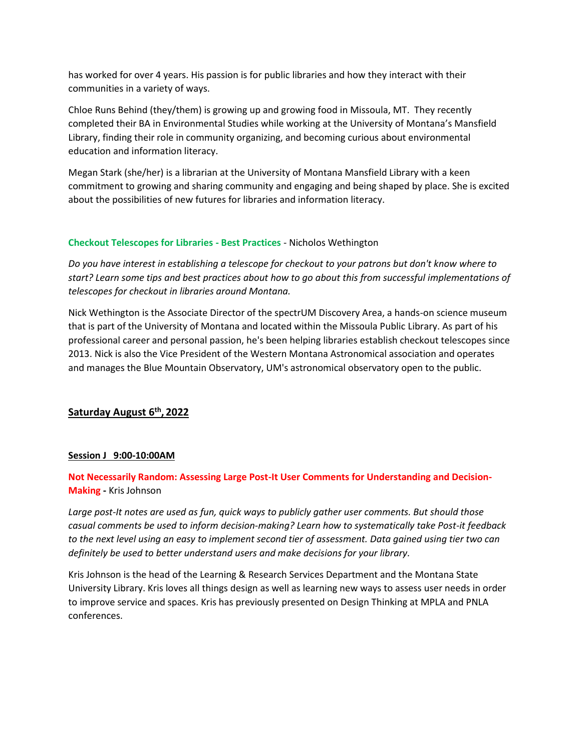has worked for over 4 years. His passion is for public libraries and how they interact with their communities in a variety of ways.

Chloe Runs Behind (they/them) is growing up and growing food in Missoula, MT. They recently completed their BA in Environmental Studies while working at the University of Montana's Mansfield Library, finding their role in community organizing, and becoming curious about environmental education and information literacy.

Megan Stark (she/her) is a librarian at the University of Montana Mansfield Library with a keen commitment to growing and sharing community and engaging and being shaped by place. She is excited about the possibilities of new futures for libraries and information literacy.

# **Checkout Telescopes for Libraries - Best Practices** - Nicholos Wethington

*Do you have interest in establishing a telescope for checkout to your patrons but don't know where to start? Learn some tips and best practices about how to go about this from successful implementations of telescopes for checkout in libraries around Montana.*

Nick Wethington is the Associate Director of the spectrUM Discovery Area, a hands-on science museum that is part of the University of Montana and located within the Missoula Public Library. As part of his professional career and personal passion, he's been helping libraries establish checkout telescopes since 2013. Nick is also the Vice President of the Western Montana Astronomical association and operates and manages the Blue Mountain Observatory, UM's astronomical observatory open to the public.

# **Saturday August 6th , 2022**

# **Session J 9:00-10:00AM**

# **Not Necessarily Random: Assessing Large Post-It User Comments for Understanding and Decision-Making -** Kris Johnson

*Large post-It notes are used as fun, quick ways to publicly gather user comments. But should those casual comments be used to inform decision-making? Learn how to systematically take Post-it feedback to the next level using an easy to implement second tier of assessment. Data gained using tier two can definitely be used to better understand users and make decisions for your library.*

Kris Johnson is the head of the Learning & Research Services Department and the Montana State University Library. Kris loves all things design as well as learning new ways to assess user needs in order to improve service and spaces. Kris has previously presented on Design Thinking at MPLA and PNLA conferences.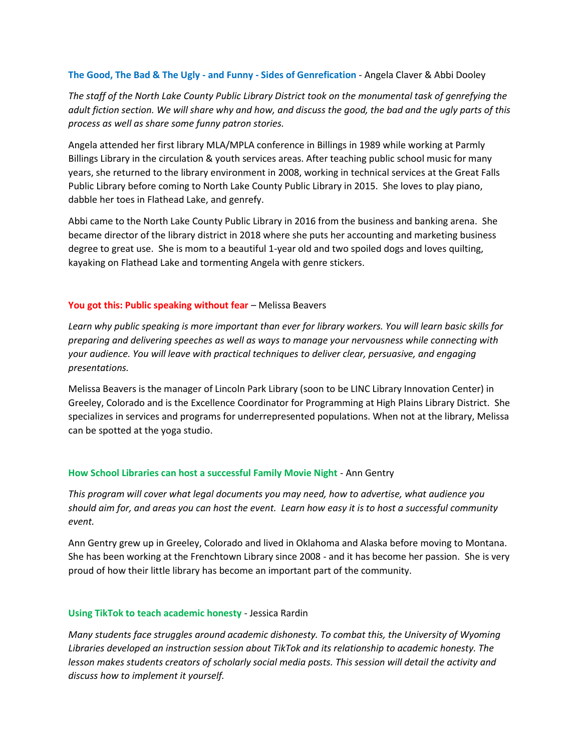### **The Good, The Bad & The Ugly - and Funny - Sides of Genrefication** - Angela Claver & Abbi Dooley

*The staff of the North Lake County Public Library District took on the monumental task of genrefying the adult fiction section. We will share why and how, and discuss the good, the bad and the ugly parts of this process as well as share some funny patron stories.*

Angela attended her first library MLA/MPLA conference in Billings in 1989 while working at Parmly Billings Library in the circulation & youth services areas. After teaching public school music for many years, she returned to the library environment in 2008, working in technical services at the Great Falls Public Library before coming to North Lake County Public Library in 2015. She loves to play piano, dabble her toes in Flathead Lake, and genrefy.

Abbi came to the North Lake County Public Library in 2016 from the business and banking arena. She became director of the library district in 2018 where she puts her accounting and marketing business degree to great use. She is mom to a beautiful 1-year old and two spoiled dogs and loves quilting, kayaking on Flathead Lake and tormenting Angela with genre stickers.

# **You got this: Public speaking without fear** – Melissa Beavers

*Learn why public speaking is more important than ever for library workers. You will learn basic skills for preparing and delivering speeches as well as ways to manage your nervousness while connecting with your audience. You will leave with practical techniques to deliver clear, persuasive, and engaging presentations.*

Melissa Beavers is the manager of Lincoln Park Library (soon to be LINC Library Innovation Center) in Greeley, Colorado and is the Excellence Coordinator for Programming at High Plains Library District. She specializes in services and programs for underrepresented populations. When not at the library, Melissa can be spotted at the yoga studio.

# **How School Libraries can host a successful Family Movie Night** - Ann Gentry

*This program will cover what legal documents you may need, how to advertise, what audience you should aim for, and areas you can host the event. Learn how easy it is to host a successful community event.*

Ann Gentry grew up in Greeley, Colorado and lived in Oklahoma and Alaska before moving to Montana. She has been working at the Frenchtown Library since 2008 - and it has become her passion. She is very proud of how their little library has become an important part of the community.

# **Using TikTok to teach academic honesty** - Jessica Rardin

*Many students face struggles around academic dishonesty. To combat this, the University of Wyoming Libraries developed an instruction session about TikTok and its relationship to academic honesty. The lesson makes students creators of scholarly social media posts. This session will detail the activity and discuss how to implement it yourself.*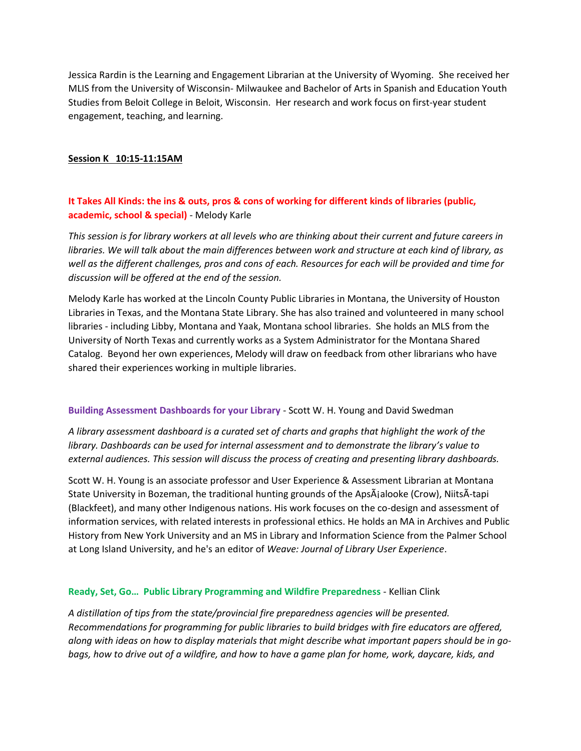Jessica Rardin is the Learning and Engagement Librarian at the University of Wyoming. She received her MLIS from the University of Wisconsin- Milwaukee and Bachelor of Arts in Spanish and Education Youth Studies from Beloit College in Beloit, Wisconsin. Her research and work focus on first-year student engagement, teaching, and learning.

### **Session K 10:15-11:15AM**

# **It Takes All Kinds: the ins & outs, pros & cons of working for different kinds of libraries (public, academic, school & special)** - Melody Karle

*This session is for library workers at all levels who are thinking about their current and future careers in libraries. We will talk about the main differences between work and structure at each kind of library, as well as the different challenges, pros and cons of each. Resources for each will be provided and time for discussion will be offered at the end of the session.*

Melody Karle has worked at the Lincoln County Public Libraries in Montana, the University of Houston Libraries in Texas, and the Montana State Library. She has also trained and volunteered in many school libraries - including Libby, Montana and Yaak, Montana school libraries. She holds an MLS from the University of North Texas and currently works as a System Administrator for the Montana Shared Catalog. Beyond her own experiences, Melody will draw on feedback from other librarians who have shared their experiences working in multiple libraries.

#### **Building Assessment Dashboards for your Library** - Scott W. H. Young and David Swedman

*A library assessment dashboard is a curated set of charts and graphs that highlight the work of the library. Dashboards can be used for internal assessment and to demonstrate the library's value to external audiences. This session will discuss the process of creating and presenting library dashboards.*

Scott W. H. Young is an associate professor and User Experience & Assessment Librarian at Montana State University in Bozeman, the traditional hunting grounds of the ApsÃialooke (Crow), NiitsÃ-tapi (Blackfeet), and many other Indigenous nations. His work focuses on the co-design and assessment of information services, with related interests in professional ethics. He holds an MA in Archives and Public History from New York University and an MS in Library and Information Science from the Palmer School at Long Island University, and he's an editor of *Weave: Journal of Library User Experience*.

# **Ready, Set, Go… Public Library Programming and Wildfire Preparedness** - Kellian Clink

*A distillation of tips from the state/provincial fire preparedness agencies will be presented. Recommendations for programming for public libraries to build bridges with fire educators are offered, along with ideas on how to display materials that might describe what important papers should be in gobags, how to drive out of a wildfire, and how to have a game plan for home, work, daycare, kids, and*